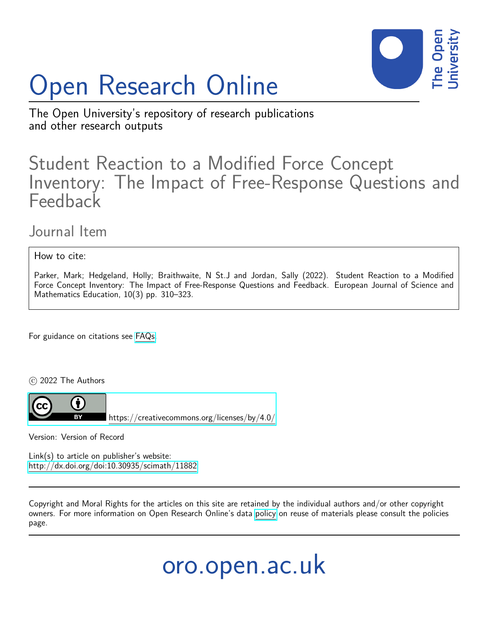# Open Research Online



The Open University's repository of research publications and other research outputs

# Student Reaction to a Modified Force Concept Inventory: The Impact of Free-Response Questions and Feedback

# Journal Item

How to cite:

Parker, Mark; Hedgeland, Holly; Braithwaite, N St.J and Jordan, Sally (2022). Student Reaction to a Modified Force Concept Inventory: The Impact of Free-Response Questions and Feedback. European Journal of Science and Mathematics Education, 10(3) pp. 310–323.

For guidance on citations see [FAQs.](http://oro.open.ac.uk/help/helpfaq.html)

c 2022 The Authors



<https://creativecommons.org/licenses/by/4.0/>

Version: Version of Record

Link(s) to article on publisher's website: <http://dx.doi.org/doi:10.30935/scimath/11882>

Copyright and Moral Rights for the articles on this site are retained by the individual authors and/or other copyright owners. For more information on Open Research Online's data [policy](http://oro.open.ac.uk/policies.html) on reuse of materials please consult the policies page.

oro.open.ac.uk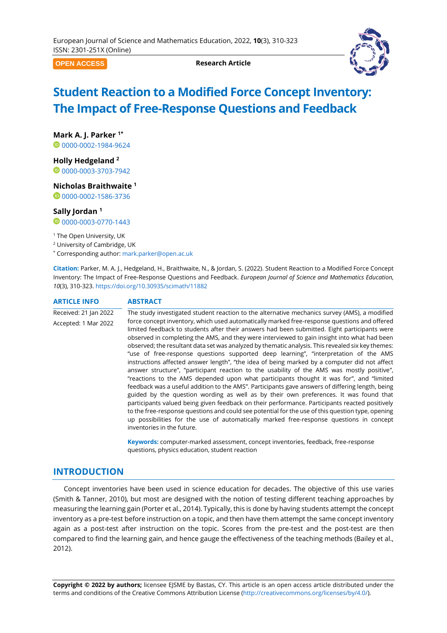**OPEN ACCESS**

**Research Article**



# **Student Reaction to a Modified Force Concept Inventory: The Impact of Free-Response Questions and Feedback**

**Mark A. J. Parker 1\***

<sup>0</sup>[0000-0002-1984-9624](https://orcid.org/0000-0002-1984-9624)

**Holly Hedgeland <sup>2</sup>**

0[0000-0003-3703-7942](https://orcid.org/0000-0003-3703-7942)

**Nicholas Braithwaite <sup>1</sup>**

00000002-1586-3736

#### **Sally Jordan <sup>1</sup>**

 $0$ [0000-0003-0770-1443](https://orcid.org/0000-0003-0770-1443)

<sup>1</sup> The Open University, UK

<sup>2</sup> University of Cambridge, UK

\* Corresponding author: [mark.parker@open.ac.uk](mailto:mark.parker@open.ac.uk)

<span id="page-1-0"></span>**Citation:** Parker, M. A. J., Hedgeland, H., Braithwaite, N., & Jordan, S. (2022). Student Reaction to a Modified Force Concept Inventory: The Impact of Free-Response Questions and Feedback. *European Journal of Science and Mathematics Education, 10*(3), [310](#page-1-0)[-323.](#page-14-0)<https://doi.org/10.30935/scimath/11882>

**ARTICLE INFO ABSTRACT**

Received: 21 Jan 2022 Accepted: 1 Mar 2022 The study investigated student reaction to the alternative mechanics survey (AMS), a modified force concept inventory, which used automatically marked free-response questions and offered limited feedback to students after their answers had been submitted. Eight participants were observed in completing the AMS, and they were interviewed to gain insight into what had been observed; the resultant data set was analyzed by thematic analysis. This revealed six key themes: "use of free-response questions supported deep learning", "interpretation of the AMS instructions affected answer length", "the idea of being marked by a computer did not affect answer structure", "participant reaction to the usability of the AMS was mostly positive", "reactions to the AMS depended upon what participants thought it was for", and "limited feedback was a useful addition to the AMS". Participants gave answers of differing length, being guided by the question wording as well as by their own preferences. It was found that participants valued being given feedback on their performance. Participants reacted positively to the free-response questions and could see potential for the use of this question type, opening up possibilities for the use of automatically marked free-response questions in concept inventories in the future.

> **Keywords:** computer-marked assessment, concept inventories, feedback, free-response questions, physics education, student reaction

# **INTRODUCTION**

Concept inventories have been used in science education for decades. The objective of this use varies (Smith & Tanner, 2010), but most are designed with the notion of testing different teaching approaches by measuring the learning gain (Porter et al., 2014). Typically, this is done by having students attempt the concept inventory as a pre-test before instruction on a topic, and then have them attempt the same concept inventory again as a post-test after instruction on the topic. Scores from the pre-test and the post-test are then compared to find the learning gain, and hence gauge the effectiveness of the teaching methods (Bailey et al., 2012).

**Copyright © 2022 by authors;** licensee EJSME by Bastas, CY. This article is an open access article distributed under the terms and conditions of the Creative Commons Attribution License [\(http://creativecommons.org/licenses/by/4.0/\)](http://creativecommons.org/licenses/by/4.0/).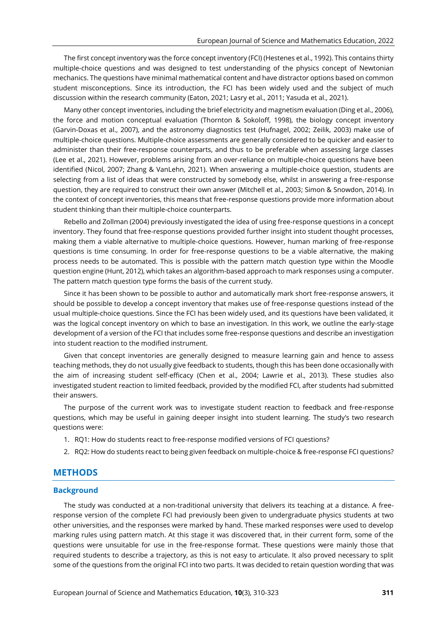The first concept inventory was the force concept inventory (FCI) (Hestenes et al., 1992). This contains thirty multiple-choice questions and was designed to test understanding of the physics concept of Newtonian mechanics. The questions have minimal mathematical content and have distractor options based on common student misconceptions. Since its introduction, the FCI has been widely used and the subject of much discussion within the research community (Eaton, 2021; Lasry et al., 2011; Yasuda et al., 2021).

Many other concept inventories, including the brief electricity and magnetism evaluation (Ding et al., 2006), the force and motion conceptual evaluation (Thornton & Sokoloff, 1998), the biology concept inventory (Garvin-Doxas et al., 2007), and the astronomy diagnostics test (Hufnagel, 2002; Zeilik, 2003) make use of multiple-choice questions. Multiple-choice assessments are generally considered to be quicker and easier to administer than their free-response counterparts, and thus to be preferable when assessing large classes (Lee et al., 2021). However, problems arising from an over-reliance on multiple-choice questions have been identified (Nicol, 2007; Zhang & VanLehn, 2021). When answering a multiple-choice question, students are selecting from a list of ideas that were constructed by somebody else, whilst in answering a free-response question, they are required to construct their own answer (Mitchell et al., 2003; Simon & Snowdon, 2014). In the context of concept inventories, this means that free-response questions provide more information about student thinking than their multiple-choice counterparts.

Rebello and Zollman (2004) previously investigated the idea of using free-response questions in a concept inventory. They found that free-response questions provided further insight into student thought processes, making them a viable alternative to multiple-choice questions. However, human marking of free-response questions is time consuming. In order for free-response questions to be a viable alternative, the making process needs to be automated. This is possible with the pattern match question type within the Moodle question engine (Hunt, 2012), which takes an algorithm-based approach to mark responses using a computer. The pattern match question type forms the basis of the current study.

Since it has been shown to be possible to author and automatically mark short free-response answers, it should be possible to develop a concept inventory that makes use of free-response questions instead of the usual multiple-choice questions. Since the FCI has been widely used, and its questions have been validated, it was the logical concept inventory on which to base an investigation. In this work, we outline the early-stage development of a version of the FCI that includes some free-response questions and describe an investigation into student reaction to the modified instrument.

Given that concept inventories are generally designed to measure learning gain and hence to assess teaching methods, they do not usually give feedback to students, though this has been done occasionally with the aim of increasing student self-efficacy (Chen et al., 2004; Lawrie et al., 2013). These studies also investigated student reaction to limited feedback, provided by the modified FCI, after students had submitted their answers.

The purpose of the current work was to investigate student reaction to feedback and free-response questions, which may be useful in gaining deeper insight into student learning. The study's two research questions were:

- 1. RQ1: How do students react to free-response modified versions of FCI questions?
- 2. RQ2: How do students react to being given feedback on multiple-choice & free-response FCI questions?

#### **METHODS**

#### **Background**

The study was conducted at a non-traditional university that delivers its teaching at a distance. A freeresponse version of the complete FCI had previously been given to undergraduate physics students at two other universities, and the responses were marked by hand. These marked responses were used to develop marking rules using pattern match. At this stage it was discovered that, in their current form, some of the questions were unsuitable for use in the free-response format. These questions were mainly those that required students to describe a trajectory, as this is not easy to articulate. It also proved necessary to split some of the questions from the original FCI into two parts. It was decided to retain question wording that was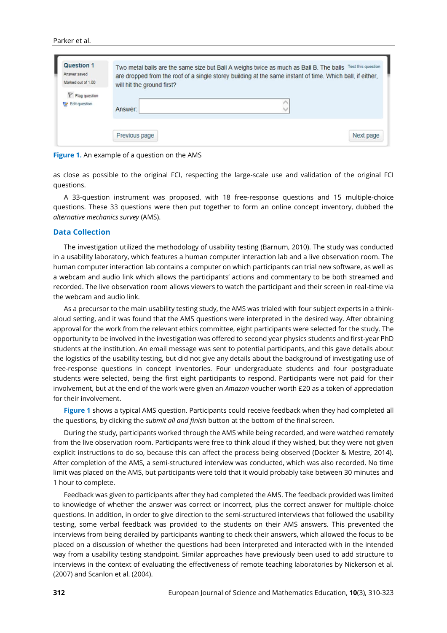#### Parker et al.

| Question 1         | Test this question                                                                                        |
|--------------------|-----------------------------------------------------------------------------------------------------------|
| Answer saved       | Two metal balls are the same size but Ball A weighs twice as much as Ball B. The balls                    |
| Marked out of 1.00 | are dropped from the roof of a single storey building at the same instant of time. Which ball, if either, |
| Flag question      | will hit the ground first?                                                                                |
| Edit question      | Answer:                                                                                                   |
|                    | Previous page<br>Next page                                                                                |

**Figure 1.** An example of a question on the AMS

as close as possible to the original FCI, respecting the large-scale use and validation of the original FCI questions.

A 33-question instrument was proposed, with 18 free-response questions and 15 multiple-choice questions. These 33 questions were then put together to form an online concept inventory, dubbed the *alternative mechanics survey* (AMS).

#### **Data Collection**

The investigation utilized the methodology of usability testing (Barnum, 2010). The study was conducted in a usability laboratory, which features a human computer interaction lab and a live observation room. The human computer interaction lab contains a computer on which participants can trial new software, as well as a webcam and audio link which allows the participants' actions and commentary to be both streamed and recorded. The live observation room allows viewers to watch the participant and their screen in real-time via the webcam and audio link.

As a precursor to the main usability testing study, the AMS was trialed with four subject experts in a thinkaloud setting, and it was found that the AMS questions were interpreted in the desired way. After obtaining approval for the work from the relevant ethics committee, eight participants were selected for the study. The opportunity to be involved in the investigation was offered to second year physics students and first-year PhD students at the institution. An email message was sent to potential participants, and this gave details about the logistics of the usability testing, but did not give any details about the background of investigating use of free-response questions in concept inventories. Four undergraduate students and four postgraduate students were selected, being the first eight participants to respond. Participants were not paid for their involvement, but at the end of the work were given an *Amazon* voucher worth £20 as a token of appreciation for their involvement.

**Figure 1** shows a typical AMS question. Participants could receive feedback when they had completed all the questions, by clicking the *submit all and finish* button at the bottom of the final screen.

During the study, participants worked through the AMS while being recorded, and were watched remotely from the live observation room. Participants were free to think aloud if they wished, but they were not given explicit instructions to do so, because this can affect the process being observed (Dockter & Mestre, 2014). After completion of the AMS, a semi-structured interview was conducted, which was also recorded. No time limit was placed on the AMS, but participants were told that it would probably take between 30 minutes and 1 hour to complete.

Feedback was given to participants after they had completed the AMS. The feedback provided was limited to knowledge of whether the answer was correct or incorrect, plus the correct answer for multiple-choice questions. In addition, in order to give direction to the semi-structured interviews that followed the usability testing, some verbal feedback was provided to the students on their AMS answers. This prevented the interviews from being derailed by participants wanting to check their answers, which allowed the focus to be placed on a discussion of whether the questions had been interpreted and interacted with in the intended way from a usability testing standpoint. Similar approaches have previously been used to add structure to interviews in the context of evaluating the effectiveness of remote teaching laboratories by Nickerson et al. (2007) and Scanlon et al. (2004).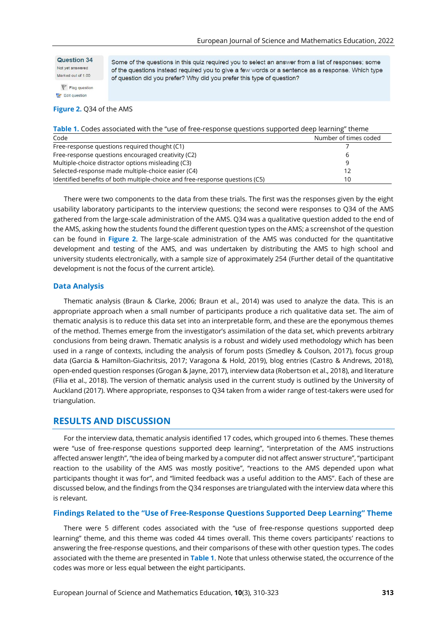Question 34 Not yet answered Marked out of 1.00

Some of the questions in this quiz required you to select an answer from a list of responses; some of the questions instead required you to give a few words or a sentence as a response. Which type of question did you prefer? Why did you prefer this type of question?

 $P$  Flag question Edit question

#### **Figure 2.** Q34 of the AMS

| Table 1. Codes associated with the "use of free-response questions supported deep learning" theme |  |                                  |
|---------------------------------------------------------------------------------------------------|--|----------------------------------|
| $\sim$ - -1 -                                                                                     |  | Alexandre and Catalogue and deal |

| Code                                                                         | Number of times coded |
|------------------------------------------------------------------------------|-----------------------|
| Free-response questions required thought (C1)                                |                       |
| Free-response questions encouraged creativity (C2)                           |                       |
| Multiple-choice distractor options misleading (C3)                           |                       |
| Selected-response made multiple-choice easier (C4)                           |                       |
| Identified benefits of both multiple-choice and free-response questions (C5) | 10                    |

There were two components to the data from these trials. The first was the responses given by the eight usability laboratory participants to the interview questions; the second were responses to Q34 of the AMS gathered from the large-scale administration of the AMS. Q34 was a qualitative question added to the end of the AMS, asking how the students found the different question types on the AMS; a screenshot of the question can be found in **Figure 2**. The large-scale administration of the AMS was conducted for the quantitative development and testing of the AMS, and was undertaken by distributing the AMS to high school and university students electronically, with a sample size of approximately 254 (Further detail of the quantitative development is not the focus of the current article).

#### **Data Analysis**

Thematic analysis (Braun & Clarke, 2006; Braun et al., 2014) was used to analyze the data. This is an appropriate approach when a small number of participants produce a rich qualitative data set. The aim of thematic analysis is to reduce this data set into an interpretable form, and these are the eponymous themes of the method. Themes emerge from the investigator's assimilation of the data set, which prevents arbitrary conclusions from being drawn. Thematic analysis is a robust and widely used methodology which has been used in a range of contexts, including the analysis of forum posts (Smedley & Coulson, 2017), focus group data (Garcia & Hamilton-Giachritsis, 2017; Varagona & Hold, 2019), blog entries (Castro & Andrews, 2018), open-ended question responses (Grogan & Jayne, 2017), interview data (Robertson et al., 2018), and literature (Filia et al., 2018). The version of thematic analysis used in the current study is outlined by the University of Auckland (2017). Where appropriate, responses to Q34 taken from a wider range of test-takers were used for triangulation.

## **RESULTS AND DISCUSSION**

For the interview data, thematic analysis identified 17 codes, which grouped into 6 themes. These themes were "use of free-response questions supported deep learning", "interpretation of the AMS instructions affected answer length", "the idea of being marked by a computer did not affect answer structure", "participant reaction to the usability of the AMS was mostly positive", "reactions to the AMS depended upon what participants thought it was for", and "limited feedback was a useful addition to the AMS". Each of these are discussed below, and the findings from the Q34 responses are triangulated with the interview data where this is relevant.

#### **Findings Related to the "Use of Free-Response Questions Supported Deep Learning" Theme**

There were 5 different codes associated with the "use of free-response questions supported deep learning" theme, and this theme was coded 44 times overall. This theme covers participants' reactions to answering the free-response questions, and their comparisons of these with other question types. The codes associated with the theme are presented in **Table 1**. Note that unless otherwise stated, the occurrence of the codes was more or less equal between the eight participants.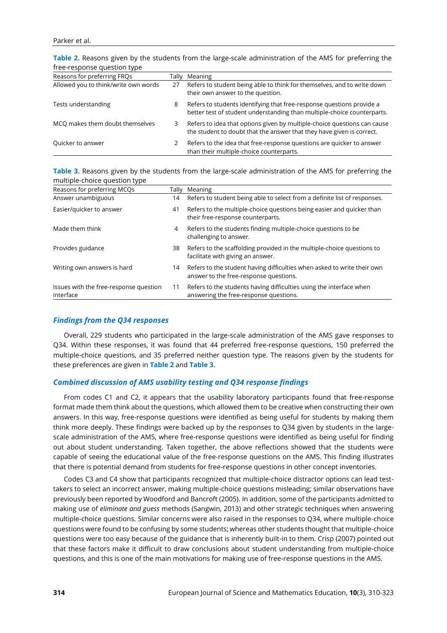| <u>II GE-I ESPOITSE QUESTION LYDE</u> |       |                                                                                                                                                   |
|---------------------------------------|-------|---------------------------------------------------------------------------------------------------------------------------------------------------|
| Reasons for preferring FRQs           | Tally | Meaning                                                                                                                                           |
| Allowed you to think/write own words  | 27    | Refers to student being able to think for themselves, and to write down<br>their own answer to the question.                                      |
| Tests understanding                   | 8     | Refers to students identifying that free-response questions provide a<br>better test of student understanding than multiple-choice counterparts.  |
| MCQ makes them doubt themselves       | 3.    | Refers to idea that options given by multiple-choice questions can cause<br>the student to doubt that the answer that they have given is correct. |
| Quicker to answer                     |       | Refers to the idea that free-response questions are quicker to answer<br>than their multiple-choice counterparts.                                 |

**Table 2.** Reasons given by the students from the large-scale administration of the AMS for preferring the free-response question type

#### **Table 3.** Reasons given by the students from the large-scale administration of the AMS for preferring the multiple-choice question type

| Reasons for preferring MCQs                         |    | Tally Meaning                                                                                                     |  |
|-----------------------------------------------------|----|-------------------------------------------------------------------------------------------------------------------|--|
| Answer unambiguous                                  | 14 | Refers to student being able to select from a definite list of responses.                                         |  |
| Easier/guicker to answer                            | 41 | Refers to the multiple-choice questions being easier and quicker than<br>their free-response counterparts.        |  |
| Made them think                                     | 4  | Refers to the students finding multiple-choice questions to be<br>challenging to answer.                          |  |
| Provides guidance                                   | 38 | Refers to the scaffolding provided in the multiple-choice questions to<br>facilitate with giving an answer.       |  |
| Writing own answers is hard                         | 14 | Refers to the student having difficulties when asked to write their own<br>answer to the free-response questions. |  |
| Issues with the free-response question<br>interface | 11 | Refers to the students having difficulties using the interface when<br>answering the free-response questions.     |  |

#### *Findings from the Q34 responses*

Overall, 229 students who participated in the large-scale administration of the AMS gave responses to Q34. Within these responses, it was found that 44 preferred free-response questions, 150 preferred the multiple-choice questions, and 35 preferred neither question type. The reasons given by the students for these preferences are given in **Table 2** and **Table 3**.

#### *Combined discussion of AMS usability testing and Q34 response findings*

From codes C1 and C2, it appears that the usability laboratory participants found that free-response format made them think about the questions, which allowed them to be creative when constructing their own answers. In this way, free-response questions were identified as being useful for students by making them think more deeply. These findings were backed up by the responses to Q34 given by students in the largescale administration of the AMS, where free-response questions were identified as being useful for finding out about student understanding. Taken together, the above reflections showed that the students were capable of seeing the educational value of the free-response questions on the AMS. This finding illustrates that there is potential demand from students for free-response questions in other concept inventories.

Codes C3 and C4 show that participants recognized that multiple-choice distractor options can lead testtakers to select an incorrect answer, making multiple-choice questions misleading; similar observations have previously been reported by Woodford and Bancroft (2005). In addition, some of the participants admitted to making use of *eliminate and guess* methods (Sangwin, 2013) and other strategic techniques when answering multiple-choice questions. Similar concerns were also raised in the responses to Q34, where multiple-choice questions were found to be confusing by some students; whereas other students thought that multiple-choice questions were too easy because of the guidance that is inherently built-in to them. Crisp (2007) pointed out that these factors make it difficult to draw conclusions about student understanding from multiple-choice questions, and this is one of the main motivations for making use of free-response questions in the AMS.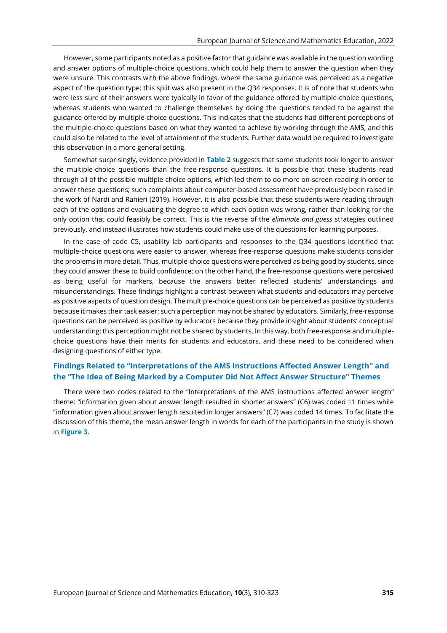However, some participants noted as a positive factor that guidance was available in the question wording and answer options of multiple-choice questions, which could help them to answer the question when they were unsure. This contrasts with the above findings, where the same guidance was perceived as a negative aspect of the question type; this split was also present in the Q34 responses. It is of note that students who were less sure of their answers were typically in favor of the guidance offered by multiple-choice questions, whereas students who wanted to challenge themselves by doing the questions tended to be against the guidance offered by multiple-choice questions. This indicates that the students had different perceptions of the multiple-choice questions based on what they wanted to achieve by working through the AMS, and this could also be related to the level of attainment of the students. Further data would be required to investigate this observation in a more general setting.

Somewhat surprisingly, evidence provided in **Table 2** suggests that some students took longer to answer the multiple-choice questions than the free-response questions. It is possible that these students read through all of the possible multiple-choice options, which led them to do more on-screen reading in order to answer these questions; such complaints about computer-based assessment have previously been raised in the work of Nardi and Ranieri (2019). However, it is also possible that these students were reading through each of the options and evaluating the degree to which each option was wrong, rather than looking for the only option that could feasibly be correct. This is the reverse of the *eliminate and guess* strategies outlined previously, and instead illustrates how students could make use of the questions for learning purposes.

In the case of code C5, usability lab participants and responses to the Q34 questions identified that multiple-choice questions were easier to answer, whereas free-response questions make students consider the problems in more detail. Thus, multiple-choice questions were perceived as being good by students, since they could answer these to build confidence; on the other hand, the free-response questions were perceived as being useful for markers, because the answers better reflected students' understandings and misunderstandings. These findings highlight a contrast between what students and educators may perceive as positive aspects of question design. The multiple-choice questions can be perceived as positive by students because it makes their task easier; such a perception may not be shared by educators. Similarly, free-response questions can be perceived as positive by educators because they provide insight about students' conceptual understanding; this perception might not be shared by students. In this way, both free-response and multiplechoice questions have their merits for students and educators, and these need to be considered when designing questions of either type.

# **Findings Related to "Interpretations of the AMS Instructions Affected Answer Length" and the "The Idea of Being Marked by a Computer Did Not Affect Answer Structure" Themes**

There were two codes related to the "Interpretations of the AMS instructions affected answer length" theme: "information given about answer length resulted in shorter answers" (C6) was coded 11 times while "information given about answer length resulted in longer answers" (C7) was coded 14 times. To facilitate the discussion of this theme, the mean answer length in words for each of the participants in the study is shown in **Figure 3**.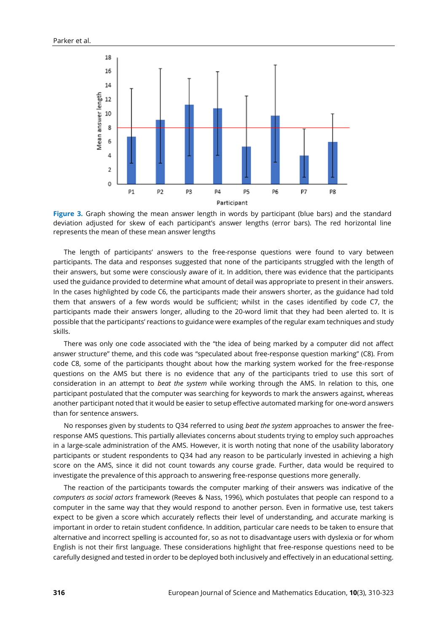

Figure 3. Graph showing the mean answer length in words by participant (blue bars) and the standard deviation adjusted for skew of each participant's answer lengths (error bars). The red horizontal line represents the mean of these mean answer lengths

The length of participants' answers to the free-response questions were found to vary between participants. The data and responses suggested that none of the participants struggled with the length of their answers, but some were consciously aware of it. In addition, there was evidence that the participants used the guidance provided to determine what amount of detail was appropriate to present in their answers. In the cases highlighted by code C6, the participants made their answers shorter, as the guidance had told them that answers of a few words would be sufficient; whilst in the cases identified by code C7, the participants made their answers longer, alluding to the 20-word limit that they had been alerted to. It is possible that the participants' reactions to guidance were examples of the regular exam techniques and study skills.

There was only one code associated with the "the idea of being marked by a computer did not affect answer structure" theme, and this code was "speculated about free-response question marking" (C8). From code C8, some of the participants thought about how the marking system worked for the free-response questions on the AMS but there is no evidence that any of the participants tried to use this sort of consideration in an attempt to *beat the system* while working through the AMS. In relation to this, one participant postulated that the computer was searching for keywords to mark the answers against, whereas another participant noted that it would be easier to setup effective automated marking for one-word answers than for sentence answers.

No responses given by students to Q34 referred to using *beat the system* approaches to answer the freeresponse AMS questions. This partially alleviates concerns about students trying to employ such approaches in a large-scale administration of the AMS. However, it is worth noting that none of the usability laboratory participants or student respondents to Q34 had any reason to be particularly invested in achieving a high score on the AMS, since it did not count towards any course grade. Further, data would be required to investigate the prevalence of this approach to answering free-response questions more generally.

The reaction of the participants towards the computer marking of their answers was indicative of the *computers as social actors* framework (Reeves & Nass, 1996), which postulates that people can respond to a computer in the same way that they would respond to another person. Even in formative use, test takers expect to be given a score which accurately reflects their level of understanding, and accurate marking is important in order to retain student confidence. In addition, particular care needs to be taken to ensure that alternative and incorrect spelling is accounted for, so as not to disadvantage users with dyslexia or for whom English is not their first language. These considerations highlight that free-response questions need to be carefully designed and tested in order to be deployed both inclusively and effectively in an educational setting.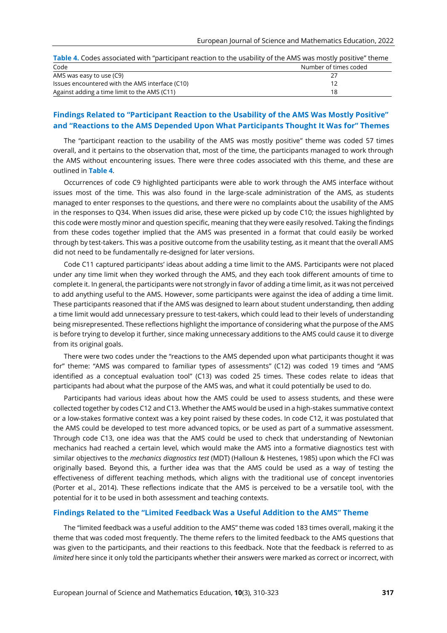| Table 4. Codes associated with "participant reaction to the usability of the AMS was mostly positive" theme |
|-------------------------------------------------------------------------------------------------------------|
|-------------------------------------------------------------------------------------------------------------|

| Code                                            | Number of times coded |
|-------------------------------------------------|-----------------------|
| AMS was easy to use (C9)                        |                       |
| Issues encountered with the AMS interface (C10) |                       |
| Against adding a time limit to the AMS (C11)    | 18                    |

# **Findings Related to "Participant Reaction to the Usability of the AMS Was Mostly Positive" and "Reactions to the AMS Depended Upon What Participants Thought It Was for" Themes**

The "participant reaction to the usability of the AMS was mostly positive" theme was coded 57 times overall, and it pertains to the observation that, most of the time, the participants managed to work through the AMS without encountering issues. There were three codes associated with this theme, and these are outlined in **Table 4**.

Occurrences of code C9 highlighted participants were able to work through the AMS interface without issues most of the time. This was also found in the large-scale administration of the AMS, as students managed to enter responses to the questions, and there were no complaints about the usability of the AMS in the responses to Q34. When issues did arise, these were picked up by code C10; the issues highlighted by this code were mostly minor and question specific, meaning that they were easily resolved. Taking the findings from these codes together implied that the AMS was presented in a format that could easily be worked through by test-takers. This was a positive outcome from the usability testing, as it meant that the overall AMS did not need to be fundamentally re-designed for later versions.

Code C11 captured participants' ideas about adding a time limit to the AMS. Participants were not placed under any time limit when they worked through the AMS, and they each took different amounts of time to complete it. In general, the participants were not strongly in favor of adding a time limit, as it was not perceived to add anything useful to the AMS. However, some participants were against the idea of adding a time limit. These participants reasoned that if the AMS was designed to learn about student understanding, then adding a time limit would add unnecessary pressure to test-takers, which could lead to their levels of understanding being misrepresented. These reflections highlight the importance of considering what the purpose of the AMS is before trying to develop it further, since making unnecessary additions to the AMS could cause it to diverge from its original goals.

There were two codes under the "reactions to the AMS depended upon what participants thought it was for" theme: "AMS was compared to familiar types of assessments" (C12) was coded 19 times and "AMS identified as a conceptual evaluation tool" (C13) was coded 25 times. These codes relate to ideas that participants had about what the purpose of the AMS was, and what it could potentially be used to do.

Participants had various ideas about how the AMS could be used to assess students, and these were collected together by codes C12 and C13. Whether the AMS would be used in a high-stakes summative context or a low-stakes formative context was a key point raised by these codes. In code C12, it was postulated that the AMS could be developed to test more advanced topics, or be used as part of a summative assessment. Through code C13, one idea was that the AMS could be used to check that understanding of Newtonian mechanics had reached a certain level, which would make the AMS into a formative diagnostics test with similar objectives to the *mechanics diagnostics test* (MDT) (Halloun & Hestenes, 1985) upon which the FCI was originally based. Beyond this, a further idea was that the AMS could be used as a way of testing the effectiveness of different teaching methods, which aligns with the traditional use of concept inventories (Porter et al., 2014). These reflections indicate that the AMS is perceived to be a versatile tool, with the potential for it to be used in both assessment and teaching contexts.

#### **Findings Related to the "Limited Feedback Was a Useful Addition to the AMS" Theme**

The "limited feedback was a useful addition to the AMS" theme was coded 183 times overall, making it the theme that was coded most frequently. The theme refers to the limited feedback to the AMS questions that was given to the participants, and their reactions to this feedback. Note that the feedback is referred to as *limited* here since it only told the participants whether their answers were marked as correct or incorrect, with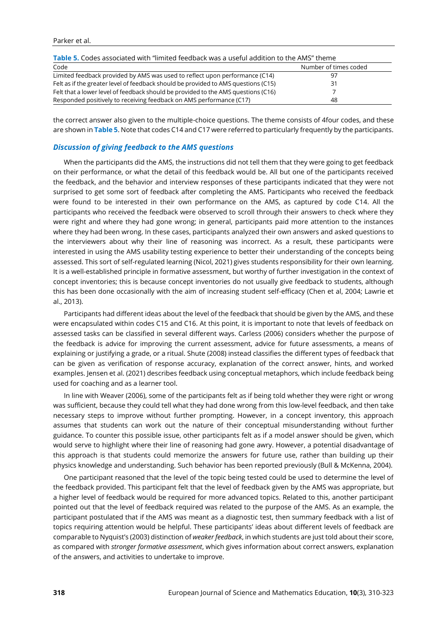| <b>Table 5.</b> Codes associated with "limited feedback was a useful addition to the AMS" theme |                       |  |  |  |
|-------------------------------------------------------------------------------------------------|-----------------------|--|--|--|
| Code                                                                                            | Number of times coded |  |  |  |
| Limited feedback provided by AMS was used to reflect upon performance (C14)                     |                       |  |  |  |
| Felt as if the greater level of feedback should be provided to AMS questions (C15)              | 31                    |  |  |  |
| Felt that a lower level of feedback should be provided to the AMS questions (C16)               |                       |  |  |  |
| Responded positively to receiving feedback on AMS performance (C17)                             | 48                    |  |  |  |

the correct answer also given to the multiple-choice questions. The theme consists of 4four codes, and these are shown in **Table 5**. Note that codes C14 and C17 were referred to particularly frequently by the participants.

#### *Discussion of giving feedback to the AMS questions*

When the participants did the AMS, the instructions did not tell them that they were going to get feedback on their performance, or what the detail of this feedback would be. All but one of the participants received the feedback, and the behavior and interview responses of these participants indicated that they were not surprised to get some sort of feedback after completing the AMS. Participants who received the feedback were found to be interested in their own performance on the AMS, as captured by code C14. All the participants who received the feedback were observed to scroll through their answers to check where they were right and where they had gone wrong; in general, participants paid more attention to the instances where they had been wrong. In these cases, participants analyzed their own answers and asked questions to the interviewers about why their line of reasoning was incorrect. As a result, these participants were interested in using the AMS usability testing experience to better their understanding of the concepts being assessed. This sort of self-regulated learning (Nicol, 2021) gives students responsibility for their own learning. It is a well-established principle in formative assessment, but worthy of further investigation in the context of concept inventories; this is because concept inventories do not usually give feedback to students, although this has been done occasionally with the aim of increasing student self-efficacy (Chen et al, 2004; Lawrie et al., 2013).

Participants had different ideas about the level of the feedback that should be given by the AMS, and these were encapsulated within codes C15 and C16. At this point, it is important to note that levels of feedback on assessed tasks can be classified in several different ways. Carless (2006) considers whether the purpose of the feedback is advice for improving the current assessment, advice for future assessments, a means of explaining or justifying a grade, or a ritual. Shute (2008) instead classifies the different types of feedback that can be given as verification of response accuracy, explanation of the correct answer, hints, and worked examples. Jensen et al. (2021) describes feedback using conceptual metaphors, which include feedback being used for coaching and as a learner tool.

In line with Weaver (2006), some of the participants felt as if being told whether they were right or wrong was sufficient, because they could tell what they had done wrong from this low-level feedback, and then take necessary steps to improve without further prompting. However, in a concept inventory, this approach assumes that students can work out the nature of their conceptual misunderstanding without further guidance. To counter this possible issue, other participants felt as if a model answer should be given, which would serve to highlight where their line of reasoning had gone awry. However, a potential disadvantage of this approach is that students could memorize the answers for future use, rather than building up their physics knowledge and understanding. Such behavior has been reported previously (Bull & McKenna, 2004).

One participant reasoned that the level of the topic being tested could be used to determine the level of the feedback provided. This participant felt that the level of feedback given by the AMS was appropriate, but a higher level of feedback would be required for more advanced topics. Related to this, another participant pointed out that the level of feedback required was related to the purpose of the AMS. As an example, the participant postulated that if the AMS was meant as a diagnostic test, then summary feedback with a list of topics requiring attention would be helpful. These participants' ideas about different levels of feedback are comparable to Nyquist's (2003) distinction of *weaker feedback*, in which students are just told about their score, as compared with *stronger formative assessment*, which gives information about correct answers, explanation of the answers, and activities to undertake to improve.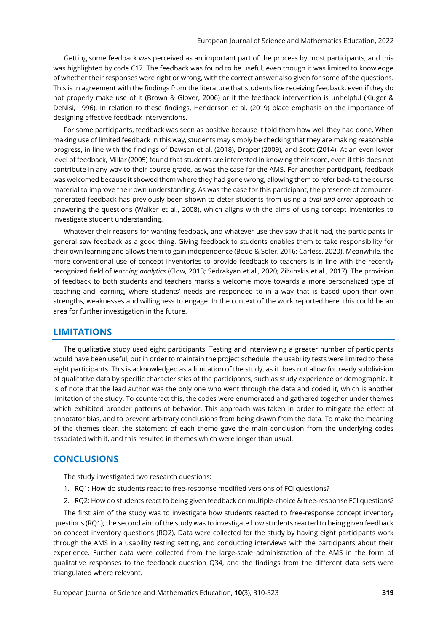Getting some feedback was perceived as an important part of the process by most participants, and this was highlighted by code C17. The feedback was found to be useful, even though it was limited to knowledge of whether their responses were right or wrong, with the correct answer also given for some of the questions. This is in agreement with the findings from the literature that students like receiving feedback, even if they do not properly make use of it (Brown & Glover, 2006) or if the feedback intervention is unhelpful (Kluger & DeNisi, 1996). In relation to these findings, Henderson et al. (2019) place emphasis on the importance of designing effective feedback interventions.

For some participants, feedback was seen as positive because it told them how well they had done. When making use of limited feedback in this way, students may simply be checking that they are making reasonable progress, in line with the findings of Dawson et al. (2018), Draper (2009), and Scott (2014). At an even lower level of feedback, Millar (2005) found that students are interested in knowing their score, even if this does not contribute in any way to their course grade, as was the case for the AMS. For another participant, feedback was welcomed because it showed them where they had gone wrong, allowing them to refer back to the course material to improve their own understanding. As was the case for this participant, the presence of computergenerated feedback has previously been shown to deter students from using a *trial and error* approach to answering the questions (Walker et al., 2008), which aligns with the aims of using concept inventories to investigate student understanding.

Whatever their reasons for wanting feedback, and whatever use they saw that it had, the participants in general saw feedback as a good thing. Giving feedback to students enables them to take responsibility for their own learning and allows them to gain independence (Boud & Soler, 2016; Carless, 2020). Meanwhile, the more conventional use of concept inventories to provide feedback to teachers is in line with the recently recognized field of *learning analytics* (Clow, 2013; Sedrakyan et al., 2020; Zilvinskis et al., 2017). The provision of feedback to both students and teachers marks a welcome move towards a more personalized type of teaching and learning, where students' needs are responded to in a way that is based upon their own strengths, weaknesses and willingness to engage. In the context of the work reported here, this could be an area for further investigation in the future.

## **LIMITATIONS**

The qualitative study used eight participants. Testing and interviewing a greater number of participants would have been useful, but in order to maintain the project schedule, the usability tests were limited to these eight participants. This is acknowledged as a limitation of the study, as it does not allow for ready subdivision of qualitative data by specific characteristics of the participants, such as study experience or demographic. It is of note that the lead author was the only one who went through the data and coded it, which is another limitation of the study. To counteract this, the codes were enumerated and gathered together under themes which exhibited broader patterns of behavior. This approach was taken in order to mitigate the effect of annotator bias, and to prevent arbitrary conclusions from being drawn from the data. To make the meaning of the themes clear, the statement of each theme gave the main conclusion from the underlying codes associated with it, and this resulted in themes which were longer than usual.

## **CONCLUSIONS**

The study investigated two research questions:

- 1. RQ1: How do students react to free-response modified versions of FCI questions?
- 2. RQ2: How do students react to being given feedback on multiple-choice & free-response FCI questions?

The first aim of the study was to investigate how students reacted to free-response concept inventory questions (RQ1); the second aim of the study was to investigate how students reacted to being given feedback on concept inventory questions (RQ2). Data were collected for the study by having eight participants work through the AMS in a usability testing setting, and conducting interviews with the participants about their experience. Further data were collected from the large-scale administration of the AMS in the form of qualitative responses to the feedback question Q34, and the findings from the different data sets were triangulated where relevant.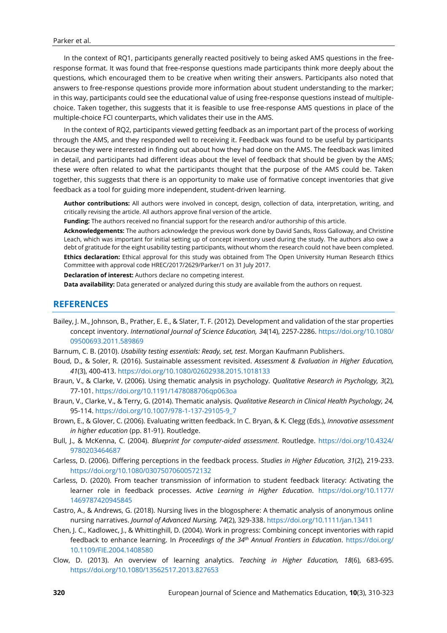In the context of RQ1, participants generally reacted positively to being asked AMS questions in the freeresponse format. It was found that free-response questions made participants think more deeply about the questions, which encouraged them to be creative when writing their answers. Participants also noted that answers to free-response questions provide more information about student understanding to the marker; in this way, participants could see the educational value of using free-response questions instead of multiplechoice. Taken together, this suggests that it is feasible to use free-response AMS questions in place of the multiple-choice FCI counterparts, which validates their use in the AMS.

In the context of RQ2, participants viewed getting feedback as an important part of the process of working through the AMS, and they responded well to receiving it. Feedback was found to be useful by participants because they were interested in finding out about how they had done on the AMS. The feedback was limited in detail, and participants had different ideas about the level of feedback that should be given by the AMS; these were often related to what the participants thought that the purpose of the AMS could be. Taken together, this suggests that there is an opportunity to make use of formative concept inventories that give feedback as a tool for guiding more independent, student-driven learning.

**Author contributions:** All authors were involved in concept, design, collection of data, interpretation, writing, and critically revising the article. All authors approve final version of the article.

**Funding:** The authors received no financial support for the research and/or authorship of this article.

**Acknowledgements:** The authors acknowledge the previous work done by David Sands, Ross Galloway, and Christine Leach, which was important for initial setting up of concept inventory used during the study. The authors also owe a debt of gratitude for the eight usability testing participants, without whom the research could not have been completed. **Ethics declaration:** Ethical approval for this study was obtained from The Open University Human Research Ethics Committee with approval code HREC/2017/2629/Parker/1 on 31 July 2017.

**Declaration of interest:** Authors declare no competing interest.

**Data availability:** Data generated or analyzed during this study are available from the authors on request.

## **REFERENCES**

- Bailey, J. M., Johnson, B., Prather, E. E., & Slater, T. F. (2012). Development and validation of the star properties concept inventory. *International Journal of Science Education, 34*(14), 2257-2286. [https://doi.org/10.1080/](https://doi.org/10.1080/09500693.2011.589869) [09500693.2011.589869](https://doi.org/10.1080/09500693.2011.589869)
- Barnum, C. B. (2010). *Usability testing essentials: Ready, set, test*. Morgan Kaufmann Publishers.
- Boud, D., & Soler, R. (2016). Sustainable assessment revisited. *Assessment & Evaluation in Higher Education, 41*(3), 400-413.<https://doi.org/10.1080/02602938.2015.1018133>
- Braun, V., & Clarke, V. (2006). Using thematic analysis in psychology. *Qualitative Research in Psychology, 3*(2), 77-101.<https://doi.org/10.1191/1478088706qp063oa>
- Braun, V., Clarke, V., & Terry, G. (2014). Thematic analysis. *Qualitative Research in Clinical Health Psychology, 24,* 95-114. [https://doi.org/10.1007/978-1-137-29105-9\\_7](https://doi.org/10.1007/978-1-137-29105-9_7)
- Brown, E., & Glover, C. (2006). Evaluating written feedback. In C. Bryan, & K. Clegg (Eds.), *Innovative assessment in higher education* (pp. 81-91). Routledge.
- Bull, J., & McKenna, C. (2004). *Blueprint for computer-aided assessment*. Routledge. [https://doi.org/10.4324/](https://doi.org/10.4324/9780203464687) [9780203464687](https://doi.org/10.4324/9780203464687)
- Carless, D. (2006). Differing perceptions in the feedback process. *Studies in Higher Education, 31*(2), 219-233. <https://doi.org/10.1080/03075070600572132>
- Carless, D. (2020). From teacher transmission of information to student feedback literacy: Activating the learner role in feedback processes. *Active Learning in Higher Education*. [https://doi.org/10.1177/](https://doi.org/10.1177/1469787420945845) [1469787420945845](https://doi.org/10.1177/1469787420945845)
- Castro, A., & Andrews, G. (2018). Nursing lives in the blogosphere: A thematic analysis of anonymous online nursing narratives. *Journal of Advanced Nursing, 74*(2), 329-338[. https://doi.org/10.1111/jan.13411](https://doi.org/10.1111/jan.13411)
- Chen, J. C., Kadlowec, J., & Whittinghill, D. (2004). Work in progress: Combining concept inventories with rapid feedback to enhance learning. In *Proceedings of the 34th Annual Frontiers in Education*. [https://doi.org/](https://doi.org/10.1109/FIE.2004.1408580) [10.1109/FIE.2004.1408580](https://doi.org/10.1109/FIE.2004.1408580)
- Clow, D. (2013). An overview of learning analytics. *Teaching in Higher Education, 18*(6), 683-695. <https://doi.org/10.1080/13562517.2013.827653>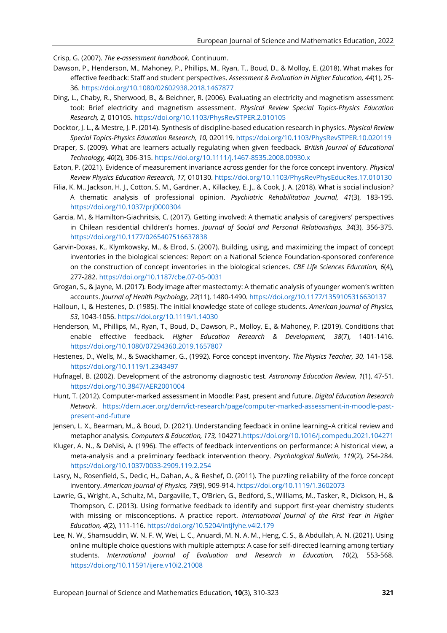Crisp, G. (2007). *The e-assessment handbook.* Continuum.

- Dawson, P., Henderson, M., Mahoney, P., Phillips, M., Ryan, T., Boud, D., & Molloy, E. (2018). What makes for effective feedback: Staff and student perspectives. *Assessment & Evaluation in Higher Education, 44*(1), 25- 36[. https://doi.org/10.1080/02602938.2018.1467877](https://doi.org/10.1080/02602938.2018.1467877)
- Ding, L., Chaby, R., Sherwood, B., & Beichner, R. (2006). Evaluating an electricity and magnetism assessment tool: Brief electricity and magnetism assessment. *Physical Review Special Topics-Physics Education Research, 2,* 010105.<https://doi.org/10.1103/PhysRevSTPER.2.010105>
- Docktor, J. L., & Mestre, J. P. (2014). Synthesis of discipline-based education research in physics. *Physical Review Special Topics-Physics Education Research, 10,* 020119[. https://doi.org/10.1103/PhysRevSTPER.10.020119](https://doi.org/10.1103/PhysRevSTPER.10.020119)
- Draper, S. (2009). What are learners actually regulating when given feedback. *British Journal of Educational Technology, 40*(2), 306-315.<https://doi.org/10.1111/j.1467-8535.2008.00930.x>
- Eaton, P. (2021). Evidence of measurement invariance across gender for the force concept inventory. *Physical Review Physics Education Research, 17,* 010130.<https://doi.org/10.1103/PhysRevPhysEducRes.17.010130>
- Filia, K. M., Jackson, H. J., Cotton, S. M., Gardner, A., Killackey, E. J., & Cook, J. A. (2018). What is social inclusion? A thematic analysis of professional opinion. *Psychiatric Rehabilitation Journal, 41*(3), 183-195. <https://doi.org/10.1037/prj0000304>
- Garcia, M., & Hamilton-Giachritsis, C. (2017). Getting involved: A thematic analysis of caregivers' perspectives in Chilean residential children's homes. *Journal of Social and Personal Relationships, 34*(3), 356-375. <https://doi.org/10.1177/0265407516637838>
- Garvin-Doxas, K., Klymkowsky, M., & Elrod, S. (2007). Building, using, and maximizing the impact of concept inventories in the biological sciences: Report on a National Science Foundation-sponsored conference on the construction of concept inventories in the biological sciences. *CBE Life Sciences Education, 6*(4), 277-282.<https://doi.org/10.1187/cbe.07-05-0031>
- Grogan, S., & Jayne, M. (2017). Body image after mastectomy: A thematic analysis of younger women's written accounts. *Journal of Health Psychology, 22*(11), 1480-1490[. https://doi.org/10.1177/1359105316630137](https://doi.org/10.1177/1359105316630137)
- Halloun, I., & Hestenes, D. (1985). The initial knowledge state of college students. *American Journal of Physics, 53*, 1043-1056.<https://doi.org/10.1119/1.14030>
- Henderson, M., Phillips, M., Ryan, T., Boud, D., Dawson, P., Molloy, E., & Mahoney, P. (2019). Conditions that enable effective feedback. *Higher Education Research & Development, 38*(7), 1401-1416. <https://doi.org/10.1080/07294360.2019.1657807>
- Hestenes, D., Wells, M., & Swackhamer, G., (1992). Force concept inventory. *The Physics Teacher, 30,* 141-158. <https://doi.org/10.1119/1.2343497>
- Hufnagel, B. (2002). Development of the astronomy diagnostic test. *Astronomy Education Review, 1*(1), 47-51. <https://doi.org/10.3847/AER2001004>
- Hunt, T. (2012). Computer-marked assessment in Moodle: Past, present and future. *Digital Education Research Network*. [https://dern.acer.org/dern/ict-research/page/computer-marked-assessment-in-moodle-past](https://dern.acer.org/dern/ict-research/page/computer-marked-assessment-in-moodle-past-present-and-future)[present-and-future](https://dern.acer.org/dern/ict-research/page/computer-marked-assessment-in-moodle-past-present-and-future)
- Jensen, L. X., Bearman, M., & Boud, D. (2021). Understanding feedback in online learning–A critical review and metaphor analysis. *Computers & Education, 173,* 10427[1.https://doi.org/10.1016/j.compedu.2021.104271](https://doi.org/10.1016/j.compedu.2021.104271)
- Kluger, A. N., & DeNisi, A. (1996). The effects of feedback interventions on performance: A historical view, a meta-analysis and a preliminary feedback intervention theory. *Psychological Bulletin, 119*(2), 254-284. <https://doi.org/10.1037/0033-2909.119.2.254>
- Lasry, N., Rosenfield, S., Dedic, H., Dahan, A., & Reshef, O. (2011). The puzzling reliability of the force concept inventory. *American Journal of Physics, 79*(9), 909-914[. https://doi.org/10.1119/1.3602073](https://doi.org/10.1119/1.3602073)
- Lawrie, G., Wright, A., Schultz, M., Dargaville, T., O'Brien, G., Bedford, S., Williams, M., Tasker, R., Dickson, H., & Thompson, C. (2013). Using formative feedback to identify and support first-year chemistry students with missing or misconceptions. A practice report. *International Journal of the First Year in Higher Education, 4*(2), 111-116.<https://doi.org/10.5204/intjfyhe.v4i2.179>
- Lee, N. W., Shamsuddin, W. N. F. W, Wei, L. C., Anuardi, M. N. A. M., Heng, C. S., & Abdullah, A. N. (2021). Using online multiple choice questions with multiple attempts: A case for self-directed learning among tertiary students. *International Journal of Evaluation and Research in Education, 10*(2), 553-568. <https://doi.org/10.11591/ijere.v10i2.21008>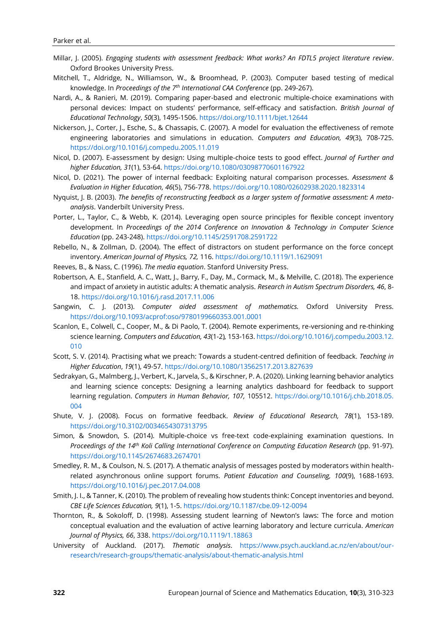- Millar, J. (2005). *Engaging students with assessment feedback: What works? An FDTL5 project literature review*. Oxford Brookes University Press.
- Mitchell, T., Aldridge, N., Williamson, W., & Broomhead, P. (2003). Computer based testing of medical knowledge. In *Proceedings of the 7 th International CAA Conference* (pp. 249-267).
- Nardi, A., & Ranieri, M. (2019). Comparing paper-based and electronic multiple-choice examinations with personal devices: Impact on students' performance, self-efficacy and satisfaction. *British Journal of Educational Technology*, *50*(3), 1495-1506[. https://doi.org/10.1111/bjet.12644](https://doi.org/10.1111/bjet.12644)
- Nickerson, J., Corter, J., Esche, S., & Chassapis, C. (2007). A model for evaluation the effectiveness of remote engineering laboratories and simulations in education. *Computers and Education, 49*(3), 708-725. <https://doi.org/10.1016/j.compedu.2005.11.019>
- Nicol, D. (2007). E‐assessment by design: Using multiple‐choice tests to good effect. *Journal of Further and higher Education, 31*(1), 53-64[. https://doi.org/10.1080/03098770601167922](https://doi.org/10.1080/03098770601167922)
- Nicol, D. (2021). The power of internal feedback: Exploiting natural comparison processes. *Assessment & Evaluation in Higher Education, 46*(5), 756-778[. https://doi.org/10.1080/02602938.2020.1823314](https://doi.org/10.1080/02602938.2020.1823314)
- Nyquist, J. B. (2003). *The benefits of reconstructing feedback as a larger system of formative assessment: A metaanalysis*. Vanderbilt University Press.
- Porter, L., Taylor, C., & Webb, K. (2014). Leveraging open source principles for flexible concept inventory development. In *Proceedings of the 2014 Conference on Innovation & Technology in Computer Science Education* (pp. 243-248).<https://doi.org/10.1145/2591708.2591722>
- Rebello, N., & Zollman, D. (2004). The effect of distractors on student performance on the force concept inventory. *American Journal of Physics, 72,* 116[. https://doi.org/10.1119/1.1629091](https://doi.org/10.1119/1.1629091)
- Reeves, B., & Nass, C. (1996). *The media equation*. Stanford University Press.
- Robertson, A. E., Stanfield, A. C., Watt, J., Barry, F., Day, M., Cormack, M., & Melville, C. (2018). The experience and impact of anxiety in autistic adults: A thematic analysis. *Research in Autism Spectrum Disorders, 46*, 8- 18[. https://doi.org/10.1016/j.rasd.2017.11.006](https://doi.org/10.1016/j.rasd.2017.11.006)
- Sangwin, C. J. (2013). *Computer aided assessment of mathematics.* Oxford University Press. <https://doi.org/10.1093/acprof:oso/9780199660353.001.0001>
- Scanlon, E., Colwell, C., Cooper, M., & Di Paolo, T. (2004). Remote experiments, re-versioning and re-thinking science learning. *Computers and Education, 43*(1-2)*,* 153-163[. https://doi.org/10.1016/j.compedu.2003.12.](https://doi.org/10.1016/j.compedu.2003.12.010) [010](https://doi.org/10.1016/j.compedu.2003.12.010)
- Scott, S. V. (2014). Practising what we preach: Towards a student-centred definition of feedback. *Teaching in Higher Education*, *19*(1), 49-57[. https://doi.org/10.1080/13562517.2013.827639](https://doi.org/10.1080/13562517.2013.827639)
- Sedrakyan, G., Malmberg, J., Verbert, K., Jarvela, S., & Kirschner, P. A. (2020). Linking learning behavior analytics and learning science concepts: Designing a learning analytics dashboard for feedback to support learning regulation. *Computers in Human Behavior, 107,* 105512. [https://doi.org/10.1016/j.chb.2018.05.](https://doi.org/10.1016/j.chb.2018.05.004) [004](https://doi.org/10.1016/j.chb.2018.05.004)
- Shute, V. J. (2008). Focus on formative feedback. *Review of Educational Research, 78*(1), 153-189. <https://doi.org/10.3102/0034654307313795>
- Simon, & Snowdon, S. (2014). Multiple-choice vs free-text code-explaining examination questions. In *Proceedings of the 14th Koli Calling International Conference on Computing Education Research* (pp. 91-97). <https://doi.org/10.1145/2674683.2674701>
- Smedley, R. M., & Coulson, N. S. (2017). A thematic analysis of messages posted by moderators within healthrelated asynchronous online support forums. *Patient Education and Counseling, 100*(9), 1688-1693. <https://doi.org/10.1016/j.pec.2017.04.008>
- Smith, J. I., & Tanner, K. (2010). The problem of revealing how students think: Concept inventories and beyond. *CBE Life Sciences Education, 9*(1), 1-5[. https://doi.org/10.1187/cbe.09-12-0094](https://doi.org/10.1187/cbe.09-12-0094)
- Thornton, R., & Sokoloff, D. (1998). Assessing student learning of Newton's laws: The force and motion conceptual evaluation and the evaluation of active learning laboratory and lecture curricula. *American Journal of Physics, 66*, 338[. https://doi.org/10.1119/1.18863](https://doi.org/10.1119/1.18863)
- University of Auckland. (2017). *Thematic analysis*. [https://www.psych.auckland.ac.nz/en/about/our](https://www.psych.auckland.ac.nz/en/about/our-research/research-groups/thematic-analysis/about-thematic-analysis.html)[research/research-groups/thematic-analysis/about-thematic-analysis.html](https://www.psych.auckland.ac.nz/en/about/our-research/research-groups/thematic-analysis/about-thematic-analysis.html)